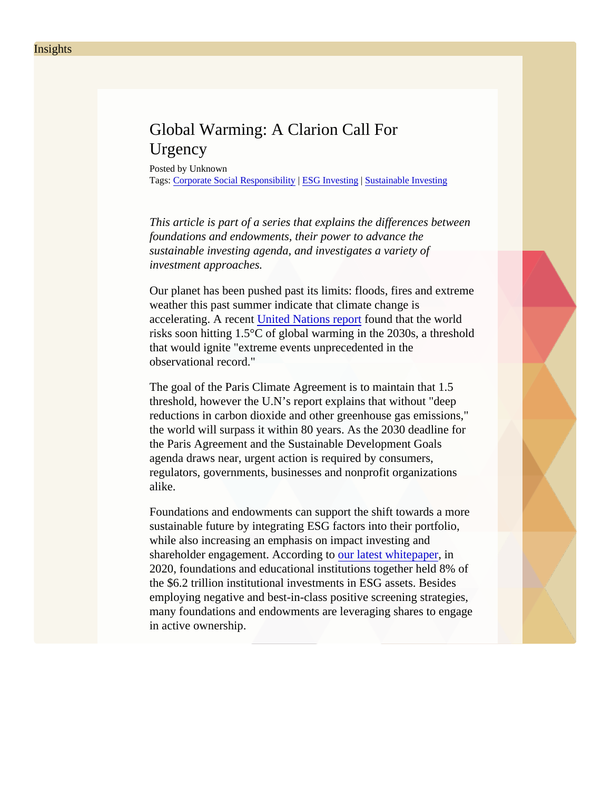## Global Warming: A Clarion Call For **Urgency**

Posted by Unknown Tags: [Corporate Social Responsibil](/Blog/uhrc&CategoryId=ukv8)it [ESG Investing](/Blog/uhrc&CategoryId=ukv2) [Sustainable Investin](/Blog/uhrc&CategoryId=ukv5)g

This article is part of a series that explains the differences between foundations and endowments, their power to advance the sustainable investing agenda, and investigates a variety of investment approaches.

Our planet has been pushed past its limits: floods, fires and extrened weather this past summer indicate that climate change is accelerating. A recent inited Nations report bund that the world risks soon hitting 1.5 $\degree$ C of global warming in the 2030s, a threshold that would ignite "extreme events unprecedented in the observational record."

The goal of the Paris Climate Agreement is to maintain that 1.5 threshold, however the U.N's report explains that without "deep reductions in carbon dioxide and other greenhouse gas emissions the world will surpass it within 80 years. As the 2030 deadline for the Paris Agreement and the Sustainable Development Goals agenda draws near, urgent action is required by consumers, regulators, governments, businesses and nonprofit organizations alike.

Foundations and endowments can support the shift towards a more sustainable future by integrating ESG factors into their portfolio, while also increasing an emphasis on impact investing and shareholder engagement. According to latest whitepaper and shareholder engagement. 2020, foundations and educational institutions together held 8% of the \$6.2 trillion institutional investments in ESG assets. Besides employing negative and best-in-class positive screening strategies, many foundations and endowments are leveraging shares to engage in active ownership.